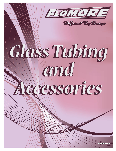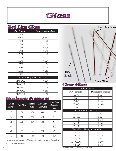

| Red Line Glass                   |                            |
|----------------------------------|----------------------------|
| <b>Part Number</b>               | Dimensions (inches)        |
| 1D12E                            | $\frac{5}{8}$ x 12         |
| 1D14.75E                         | $\frac{5}{8}$ x 14.75      |
| 1D20E                            | $\frac{5}{8}$ x 20         |
| 1D24E                            | $\frac{5}{8}$ x 24         |
| 1D36E                            | $\frac{5}{8}$ x 36         |
| 1D48E                            | $\frac{5}{8}$ x 48         |
| 1D60E                            | $\frac{5}{8}$ x 60         |
| 1D72E                            | $\frac{5}{8}$ x 72         |
| 1E24E                            | $\frac{3}{4}$ x 24         |
| 1E36E                            | $\frac{3}{4}$ x 36         |
| 1E48E                            | $\frac{3}{4}$ x 48         |
| 1E60E                            | $\frac{3}{4}$ x 60         |
| 1E72E                            | $\frac{3}{4}$ x 72         |
|                                  | Extra Heavy Red Line Glass |
| 1D24EXX                          | $\frac{5}{8}$ x 24         |
| 1D36EXX                          | $\frac{5}{8}$ x 36         |
| 1D48EXX                          | $\frac{5}{8}$ x 48         |
| 1D60EXX                          | $\frac{5}{8}$ x 60         |
| 1D72EXX                          | $\frac{5}{8}$ x 72         |
| $\bullet$<br>$\epsilon$<br>7. AL |                            |

### *Maximum Pressures*

| Length<br>(inches) | <b>Clear Glass</b> | <b>Red Line</b><br><b>Glass</b> | <b>Extra Heavy</b><br><b>Clear Glass</b> | Extra Extra<br><b>Heavy clear</b><br><b>Glass</b> |
|--------------------|--------------------|---------------------------------|------------------------------------------|---------------------------------------------------|
| 12                 | 370                | 370                             | 600                                      | 600                                               |
| 24                 | 290                | 290                             | 470                                      | 580                                               |
| 36                 | 220                | 220                             | 360                                      | 500                                               |
| 48                 | 175                | 175                             | 285                                      | 350                                               |
| 60                 | 135                | 135                             | 220                                      | 265                                               |
| 72                 | 100                | 100                             | 150                                      | 175                                               |

*Working pressures are based off information from the provider of this product.*

*NOTE: No corrosion at 150°F*



| <b>Clear Glass</b>            |                     |  |
|-------------------------------|---------------------|--|
| Part Numbers                  | Dimensions (inches) |  |
| 1D24C                         | $\frac{5}{8}$ x 24  |  |
| 1D26C                         | $\frac{5}{8}$ x 36  |  |
| 1D48C                         | $\frac{5}{8}$ x 48  |  |
| 1D60C                         | $\frac{5}{8}$ x 60  |  |
| 1D74C                         | $\frac{5}{8}$ x 72  |  |
| Extra Heavy Clear Glass       |                     |  |
| 1D24CX                        | $\frac{5}{8}$ x 24  |  |
| 1D36CX                        | $\frac{5}{8}$ x 36  |  |
| 1D48CX                        | $\frac{5}{8}$ x 48  |  |
| 1D60CX                        | $\frac{5}{8}$ x 60  |  |
| 1D72CX                        | $\frac{5}{8}$ x 72  |  |
| Extra Extra Heavy Clear Glass |                     |  |
| 1D24CXX                       | $\frac{5}{8}$ x 24  |  |
| 1D36CXX                       | $\frac{5}{8}$ x 36  |  |
| 1D48CXX                       | $\frac{5}{8}$ x 48  |  |
| 1D60CXX                       | $\frac{5}{8}$ x 60  |  |
| 1D72CXX                       | $\frac{5}{8}$ x 72  |  |

*Recommended for extra high pressures*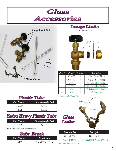

*Recommended Spare Parts*



4 15476 1 <sup>5</sup>/<sub>8</sub>" Brass Nut

| <b>Part Number</b>             | <b>Description</b>               |
|--------------------------------|----------------------------------|
| GCH-13520                      | <b>Glass Cutter</b>              |
| GCH-13600-5                    | <b>Replacement Wheel and Pin</b> |
| <b>Recommended Spare Parts</b> |                                  |

*Plastic Tube*

| <b>Part Number</b> | Dimensions (inches) |
|--------------------|---------------------|
| 1D72P              | $\frac{5}{8}$ x 72  |
| 1E72P              | $\frac{3}{4}$ x 72  |

# *Extra Heavy Plastic Tube*

| <b>Part Number</b> | Dimensions (inches) |
|--------------------|---------------------|
| 1D72PX             | $\frac{5}{8}$ x 72  |

*Recommended for extra high pressures*

| Tube Brush         |                                  |
|--------------------|----------------------------------|
| <b>Part Number</b> | <b>Description</b>               |
| 15466              | $\frac{5}{8}$ " x 48" Tube Brush |
|                    |                                  |